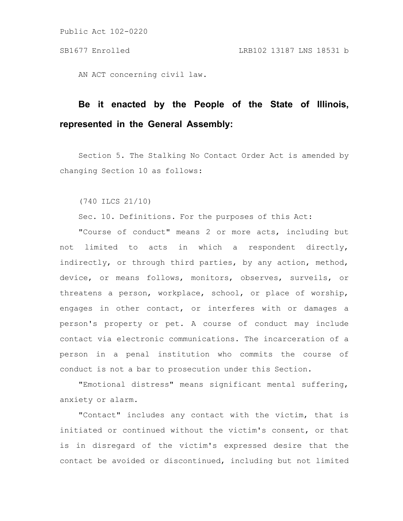AN ACT concerning civil law.

## **Be it enacted by the People of the State of Illinois, represented in the General Assembly:**

Section 5. The Stalking No Contact Order Act is amended by changing Section 10 as follows:

(740 ILCS 21/10)

Sec. 10. Definitions. For the purposes of this Act:

"Course of conduct" means 2 or more acts, including but not limited to acts in which a respondent directly, indirectly, or through third parties, by any action, method, device, or means follows, monitors, observes, surveils, or threatens a person, workplace, school, or place of worship, engages in other contact, or interferes with or damages a person's property or pet. A course of conduct may include contact via electronic communications. The incarceration of a person in a penal institution who commits the course of conduct is not a bar to prosecution under this Section.

"Emotional distress" means significant mental suffering, anxiety or alarm.

"Contact" includes any contact with the victim, that is initiated or continued without the victim's consent, or that is in disregard of the victim's expressed desire that the contact be avoided or discontinued, including but not limited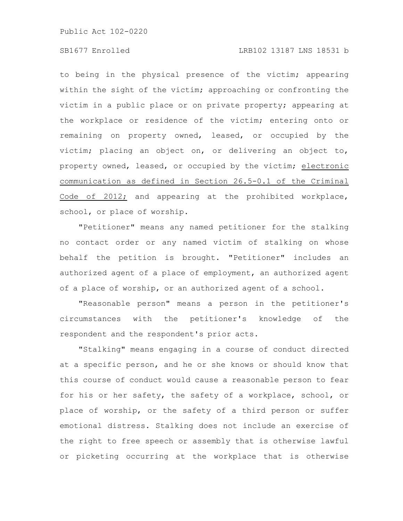## SB1677 Enrolled LRB102 13187 LNS 18531 b

to being in the physical presence of the victim; appearing within the sight of the victim; approaching or confronting the victim in a public place or on private property; appearing at the workplace or residence of the victim; entering onto or remaining on property owned, leased, or occupied by the victim; placing an object on, or delivering an object to, property owned, leased, or occupied by the victim; electronic communication as defined in Section 26.5-0.1 of the Criminal Code of 2012; and appearing at the prohibited workplace, school, or place of worship.

"Petitioner" means any named petitioner for the stalking no contact order or any named victim of stalking on whose behalf the petition is brought. "Petitioner" includes an authorized agent of a place of employment, an authorized agent of a place of worship, or an authorized agent of a school.

"Reasonable person" means a person in the petitioner's circumstances with the petitioner's knowledge of the respondent and the respondent's prior acts.

"Stalking" means engaging in a course of conduct directed at a specific person, and he or she knows or should know that this course of conduct would cause a reasonable person to fear for his or her safety, the safety of a workplace, school, or place of worship, or the safety of a third person or suffer emotional distress. Stalking does not include an exercise of the right to free speech or assembly that is otherwise lawful or picketing occurring at the workplace that is otherwise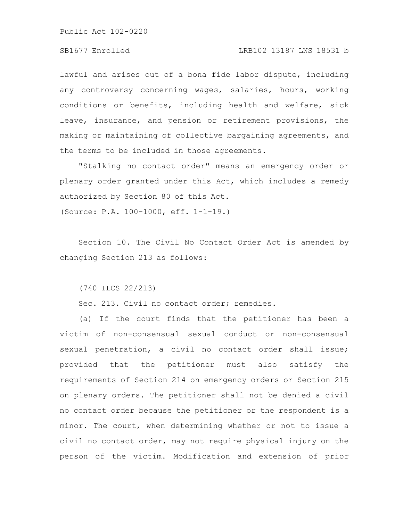lawful and arises out of a bona fide labor dispute, including any controversy concerning wages, salaries, hours, working conditions or benefits, including health and welfare, sick leave, insurance, and pension or retirement provisions, the making or maintaining of collective bargaining agreements, and the terms to be included in those agreements.

"Stalking no contact order" means an emergency order or plenary order granted under this Act, which includes a remedy authorized by Section 80 of this Act.

(Source: P.A. 100-1000, eff. 1-1-19.)

Section 10. The Civil No Contact Order Act is amended by changing Section 213 as follows:

(740 ILCS 22/213)

Sec. 213. Civil no contact order; remedies.

(a) If the court finds that the petitioner has been a victim of non-consensual sexual conduct or non-consensual sexual penetration, a civil no contact order shall issue; provided that the petitioner must also satisfy the requirements of Section 214 on emergency orders or Section 215 on plenary orders. The petitioner shall not be denied a civil no contact order because the petitioner or the respondent is a minor. The court, when determining whether or not to issue a civil no contact order, may not require physical injury on the person of the victim. Modification and extension of prior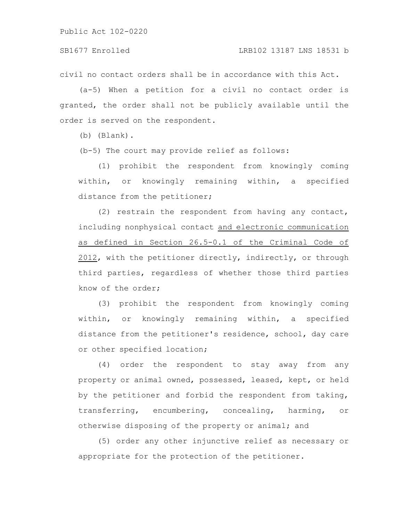civil no contact orders shall be in accordance with this Act.

(a-5) When a petition for a civil no contact order is granted, the order shall not be publicly available until the order is served on the respondent.

(b) (Blank).

(b-5) The court may provide relief as follows:

(1) prohibit the respondent from knowingly coming within, or knowingly remaining within, a specified distance from the petitioner;

(2) restrain the respondent from having any contact, including nonphysical contact and electronic communication as defined in Section 26.5-0.1 of the Criminal Code of 2012, with the petitioner directly, indirectly, or through third parties, regardless of whether those third parties know of the order;

(3) prohibit the respondent from knowingly coming within, or knowingly remaining within, a specified distance from the petitioner's residence, school, day care or other specified location;

(4) order the respondent to stay away from any property or animal owned, possessed, leased, kept, or held by the petitioner and forbid the respondent from taking, transferring, encumbering, concealing, harming, or otherwise disposing of the property or animal; and

(5) order any other injunctive relief as necessary or appropriate for the protection of the petitioner.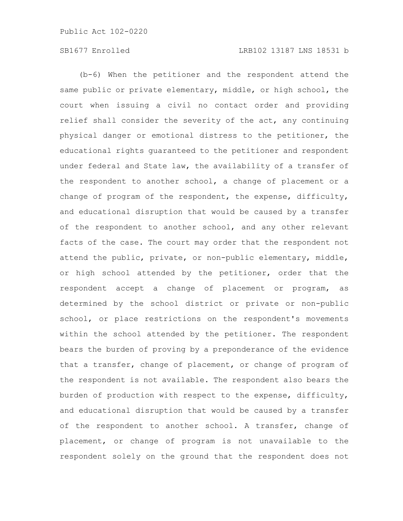(b-6) When the petitioner and the respondent attend the same public or private elementary, middle, or high school, the court when issuing a civil no contact order and providing relief shall consider the severity of the act, any continuing physical danger or emotional distress to the petitioner, the educational rights guaranteed to the petitioner and respondent under federal and State law, the availability of a transfer of the respondent to another school, a change of placement or a change of program of the respondent, the expense, difficulty, and educational disruption that would be caused by a transfer of the respondent to another school, and any other relevant facts of the case. The court may order that the respondent not attend the public, private, or non-public elementary, middle, or high school attended by the petitioner, order that the respondent accept a change of placement or program, as determined by the school district or private or non-public school, or place restrictions on the respondent's movements within the school attended by the petitioner. The respondent bears the burden of proving by a preponderance of the evidence that a transfer, change of placement, or change of program of the respondent is not available. The respondent also bears the burden of production with respect to the expense, difficulty, and educational disruption that would be caused by a transfer of the respondent to another school. A transfer, change of placement, or change of program is not unavailable to the respondent solely on the ground that the respondent does not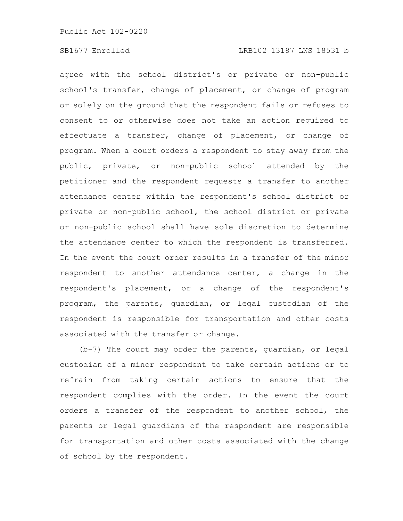agree with the school district's or private or non-public school's transfer, change of placement, or change of program or solely on the ground that the respondent fails or refuses to consent to or otherwise does not take an action required to effectuate a transfer, change of placement, or change of program. When a court orders a respondent to stay away from the public, private, or non-public school attended by the petitioner and the respondent requests a transfer to another attendance center within the respondent's school district or private or non-public school, the school district or private or non-public school shall have sole discretion to determine the attendance center to which the respondent is transferred. In the event the court order results in a transfer of the minor respondent to another attendance center, a change in the respondent's placement, or a change of the respondent's program, the parents, guardian, or legal custodian of the respondent is responsible for transportation and other costs associated with the transfer or change.

(b-7) The court may order the parents, guardian, or legal custodian of a minor respondent to take certain actions or to refrain from taking certain actions to ensure that the respondent complies with the order. In the event the court orders a transfer of the respondent to another school, the parents or legal guardians of the respondent are responsible for transportation and other costs associated with the change of school by the respondent.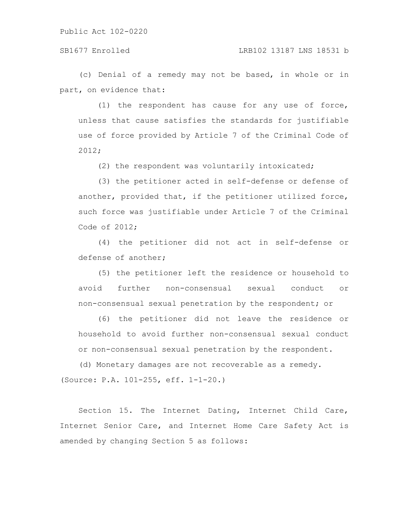## SB1677 Enrolled LRB102 13187 LNS 18531 b

(c) Denial of a remedy may not be based, in whole or in part, on evidence that:

(1) the respondent has cause for any use of force, unless that cause satisfies the standards for justifiable use of force provided by Article 7 of the Criminal Code of 2012;

(2) the respondent was voluntarily intoxicated;

(3) the petitioner acted in self-defense or defense of another, provided that, if the petitioner utilized force, such force was justifiable under Article 7 of the Criminal Code of 2012;

(4) the petitioner did not act in self-defense or defense of another;

(5) the petitioner left the residence or household to avoid further non-consensual sexual conduct or non-consensual sexual penetration by the respondent; or

(6) the petitioner did not leave the residence or household to avoid further non-consensual sexual conduct or non-consensual sexual penetration by the respondent.

(d) Monetary damages are not recoverable as a remedy. (Source: P.A. 101-255, eff. 1-1-20.)

Section 15. The Internet Dating, Internet Child Care, Internet Senior Care, and Internet Home Care Safety Act is amended by changing Section 5 as follows: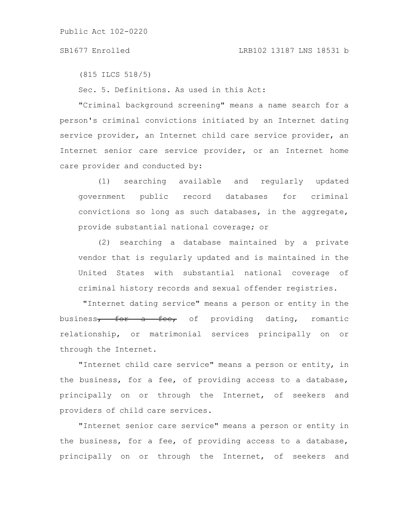## SB1677 Enrolled LRB102 13187 LNS 18531 b

(815 ILCS 518/5)

Sec. 5. Definitions. As used in this Act:

"Criminal background screening" means a name search for a person's criminal convictions initiated by an Internet dating service provider, an Internet child care service provider, an Internet senior care service provider, or an Internet home care provider and conducted by:

(1) searching available and regularly updated government public record databases for criminal convictions so long as such databases, in the aggregate, provide substantial national coverage; or

(2) searching a database maintained by a private vendor that is regularly updated and is maintained in the United States with substantial national coverage of criminal history records and sexual offender registries.

"Internet dating service" means a person or entity in the business<del>, for a fee,</del> of providing dating, romantic relationship, or matrimonial services principally on or through the Internet.

"Internet child care service" means a person or entity, in the business, for a fee, of providing access to a database, principally on or through the Internet, of seekers and providers of child care services.

"Internet senior care service" means a person or entity in the business, for a fee, of providing access to a database, principally on or through the Internet, of seekers and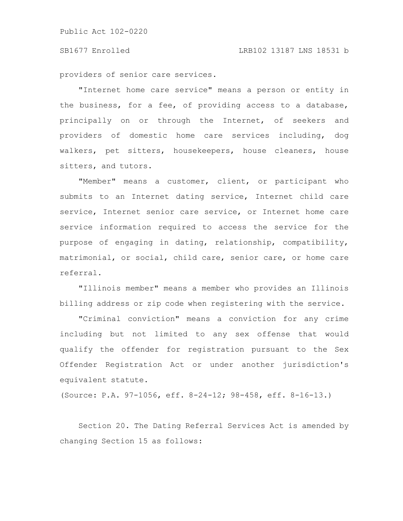providers of senior care services.

"Internet home care service" means a person or entity in the business, for a fee, of providing access to a database, principally on or through the Internet, of seekers and providers of domestic home care services including, dog walkers, pet sitters, housekeepers, house cleaners, house sitters, and tutors.

"Member" means a customer, client, or participant who submits to an Internet dating service, Internet child care service, Internet senior care service, or Internet home care service information required to access the service for the purpose of engaging in dating, relationship, compatibility, matrimonial, or social, child care, senior care, or home care referral.

"Illinois member" means a member who provides an Illinois billing address or zip code when registering with the service.

"Criminal conviction" means a conviction for any crime including but not limited to any sex offense that would qualify the offender for registration pursuant to the Sex Offender Registration Act or under another jurisdiction's equivalent statute.

(Source: P.A. 97-1056, eff. 8-24-12; 98-458, eff. 8-16-13.)

Section 20. The Dating Referral Services Act is amended by changing Section 15 as follows: